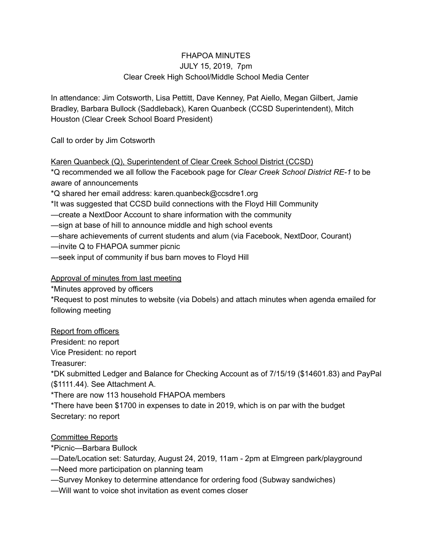## FHAPOA MINUTES JULY 15, 2019, 7pm Clear Creek High School/Middle School Media Center

In attendance: Jim Cotsworth, Lisa Pettitt, Dave Kenney, Pat Aiello, Megan Gilbert, Jamie Bradley, Barbara Bullock (Saddleback), Karen Quanbeck (CCSD Superintendent), Mitch Houston (Clear Creek School Board President)

Call to order by Jim Cotsworth

Karen Quanbeck (Q), Superintendent of Clear Creek School District (CCSD)

\*Q recommended we all follow the Facebook page for *Clear Creek School District RE-1* to be aware of announcements

\*Q shared her email address: karen.quanbeck@ccsdre1.org

\*It was suggested that CCSD build connections with the Floyd Hill Community

—create a NextDoor Account to share information with the community

—sign at base of hill to announce middle and high school events

—share achievements of current students and alum (via Facebook, NextDoor, Courant)

—invite Q to FHAPOA summer picnic

—seek input of community if bus barn moves to Floyd Hill

Approval of minutes from last meeting

\*Minutes approved by officers

\*Request to post minutes to website (via Dobels) and attach minutes when agenda emailed for following meeting

Report from officers

President: no report

Vice President: no report

Treasurer:

\*DK submitted Ledger and Balance for Checking Account as of 7/15/19 (\$14601.83) and PayPal (\$1111.44). See Attachment A.

\*There are now 113 household FHAPOA members

\*There have been \$1700 in expenses to date in 2019, which is on par with the budget Secretary: no report

## Committee Reports

\*Picnic—Barbara Bullock

—Date/Location set: Saturday, August 24, 2019, 11am - 2pm at Elmgreen park/playground

- —Need more participation on planning team
- —Survey Monkey to determine attendance for ordering food (Subway sandwiches)
- —Will want to voice shot invitation as event comes closer